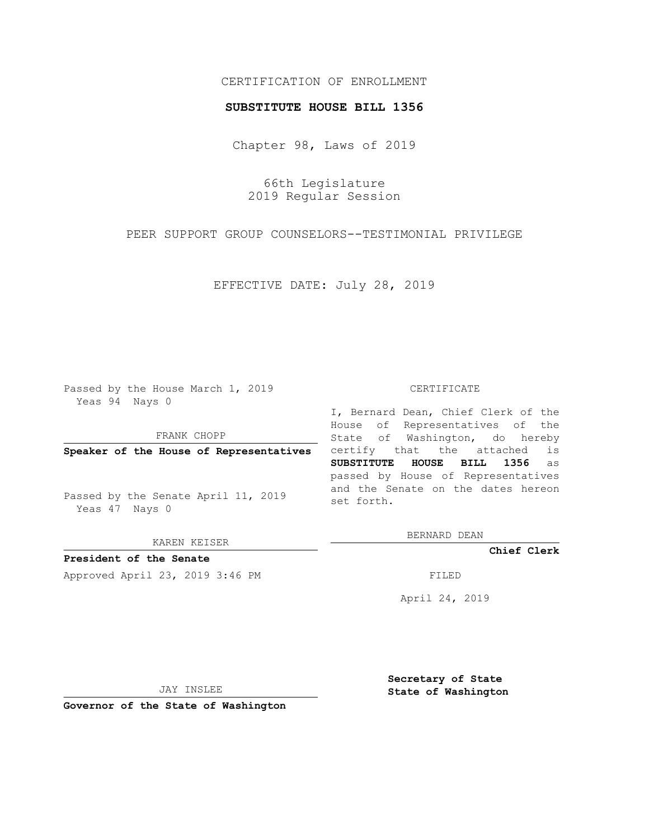# CERTIFICATION OF ENROLLMENT

### **SUBSTITUTE HOUSE BILL 1356**

Chapter 98, Laws of 2019

66th Legislature 2019 Regular Session

PEER SUPPORT GROUP COUNSELORS--TESTIMONIAL PRIVILEGE

EFFECTIVE DATE: July 28, 2019

Passed by the House March 1, 2019 Yeas 94 Nays 0

FRANK CHOPP

**Speaker of the House of Representatives**

Passed by the Senate April 11, 2019 Yeas 47 Nays 0

KAREN KEISER

**President of the Senate**

Approved April 23, 2019 3:46 PM FILED

#### CERTIFICATE

I, Bernard Dean, Chief Clerk of the House of Representatives of the State of Washington, do hereby certify that the attached is **SUBSTITUTE HOUSE BILL 1356** as passed by House of Representatives and the Senate on the dates hereon set forth.

BERNARD DEAN

**Chief Clerk**

April 24, 2019

JAY INSLEE

**Governor of the State of Washington**

**Secretary of State State of Washington**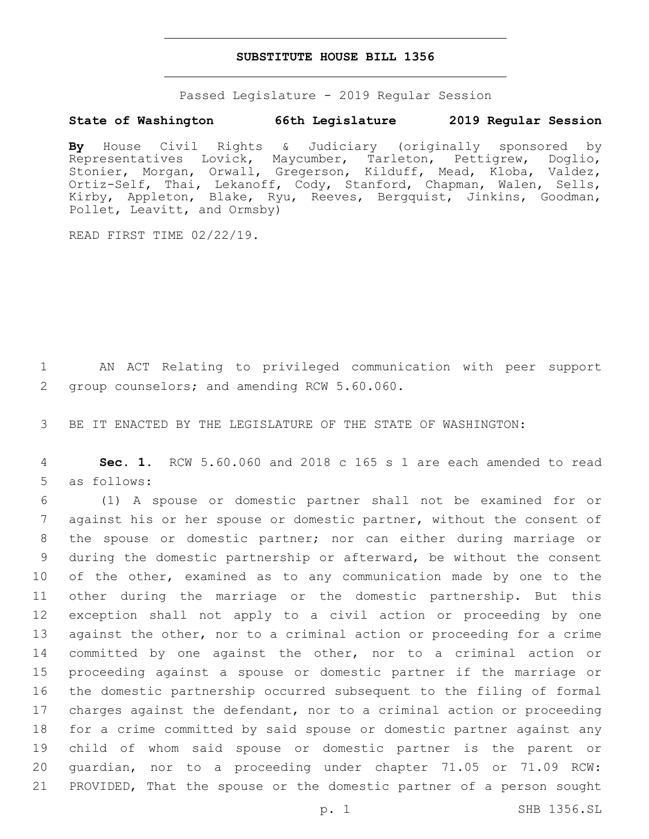### **SUBSTITUTE HOUSE BILL 1356**

Passed Legislature - 2019 Regular Session

## **State of Washington 66th Legislature 2019 Regular Session**

**By** House Civil Rights & Judiciary (originally sponsored by Representatives Lovick, Maycumber, Tarleton, Pettigrew, Doglio, Stonier, Morgan, Orwall, Gregerson, Kilduff, Mead, Kloba, Valdez, Ortiz-Self, Thai, Lekanoff, Cody, Stanford, Chapman, Walen, Sells, Kirby, Appleton, Blake, Ryu, Reeves, Bergquist, Jinkins, Goodman, Pollet, Leavitt, and Ormsby)

READ FIRST TIME 02/22/19.

1 AN ACT Relating to privileged communication with peer support 2 group counselors; and amending RCW 5.60.060.

3 BE IT ENACTED BY THE LEGISLATURE OF THE STATE OF WASHINGTON:

4 **Sec. 1.** RCW 5.60.060 and 2018 c 165 s 1 are each amended to read 5 as follows:

 (1) A spouse or domestic partner shall not be examined for or against his or her spouse or domestic partner, without the consent of the spouse or domestic partner; nor can either during marriage or during the domestic partnership or afterward, be without the consent 10 of the other, examined as to any communication made by one to the other during the marriage or the domestic partnership. But this exception shall not apply to a civil action or proceeding by one 13 against the other, nor to a criminal action or proceeding for a crime committed by one against the other, nor to a criminal action or proceeding against a spouse or domestic partner if the marriage or the domestic partnership occurred subsequent to the filing of formal charges against the defendant, nor to a criminal action or proceeding for a crime committed by said spouse or domestic partner against any child of whom said spouse or domestic partner is the parent or guardian, nor to a proceeding under chapter 71.05 or 71.09 RCW: PROVIDED, That the spouse or the domestic partner of a person sought

p. 1 SHB 1356.SL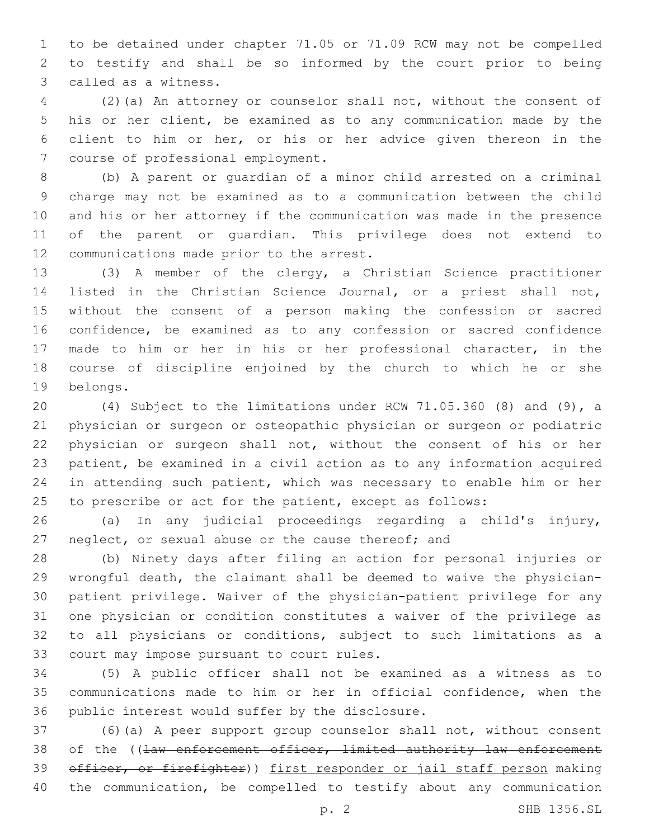to be detained under chapter 71.05 or 71.09 RCW may not be compelled to testify and shall be so informed by the court prior to being 3 called as a witness.

 (2)(a) An attorney or counselor shall not, without the consent of his or her client, be examined as to any communication made by the client to him or her, or his or her advice given thereon in the 7 course of professional employment.

 (b) A parent or guardian of a minor child arrested on a criminal charge may not be examined as to a communication between the child and his or her attorney if the communication was made in the presence of the parent or guardian. This privilege does not extend to 12 communications made prior to the arrest.

 (3) A member of the clergy, a Christian Science practitioner listed in the Christian Science Journal, or a priest shall not, without the consent of a person making the confession or sacred confidence, be examined as to any confession or sacred confidence made to him or her in his or her professional character, in the course of discipline enjoined by the church to which he or she 19 belongs.

 (4) Subject to the limitations under RCW 71.05.360 (8) and (9), a physician or surgeon or osteopathic physician or surgeon or podiatric physician or surgeon shall not, without the consent of his or her patient, be examined in a civil action as to any information acquired in attending such patient, which was necessary to enable him or her to prescribe or act for the patient, except as follows:

 (a) In any judicial proceedings regarding a child's injury, neglect, or sexual abuse or the cause thereof; and

 (b) Ninety days after filing an action for personal injuries or wrongful death, the claimant shall be deemed to waive the physician- patient privilege. Waiver of the physician-patient privilege for any one physician or condition constitutes a waiver of the privilege as to all physicians or conditions, subject to such limitations as a 33 court may impose pursuant to court rules.

 (5) A public officer shall not be examined as a witness as to communications made to him or her in official confidence, when the 36 public interest would suffer by the disclosure.

 (6)(a) A peer support group counselor shall not, without consent 38 of the ((law enforcement officer, limited authority law enforcement 39 officer, or firefighter)) first responder or jail staff person making the communication, be compelled to testify about any communication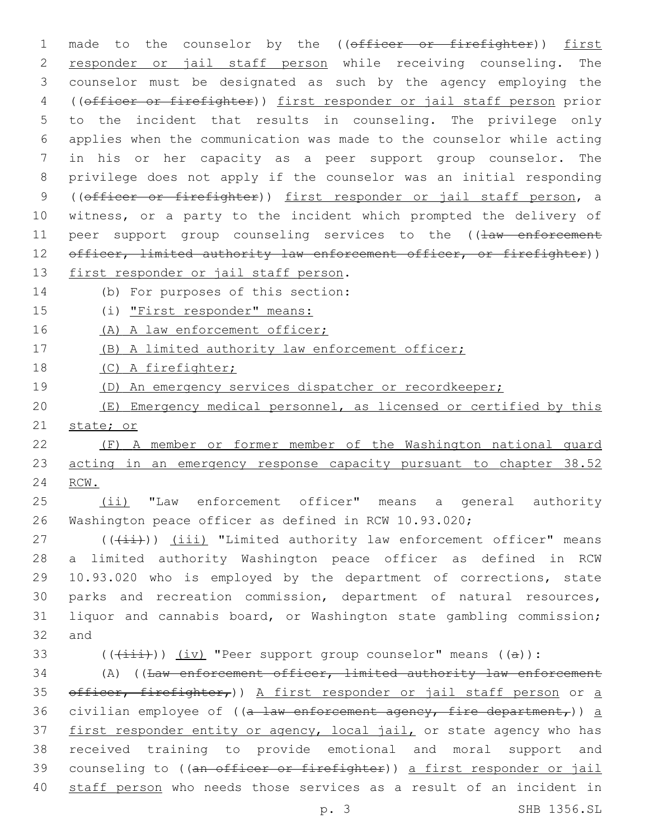1 made to the counselor by the ((officer or firefighter)) first responder or jail staff person while receiving counseling. The counselor must be designated as such by the agency employing the ((officer or firefighter)) first responder or jail staff person prior to the incident that results in counseling. The privilege only applies when the communication was made to the counselor while acting in his or her capacity as a peer support group counselor. The privilege does not apply if the counselor was an initial responding 9 ((officer or firefighter)) first responder or jail staff person, a witness, or a party to the incident which prompted the delivery of 11 peer support group counseling services to the ((law enforcement 12 officer, limited authority law enforcement officer, or firefighter)) 13 first responder or jail staff person. 14 (b) For purposes of this section: 15 (i) "First responder" means: 16 (A) A law enforcement officer; (B) A limited authority law enforcement officer; (C) A firefighter; (D) An emergency services dispatcher or recordkeeper; (E) Emergency medical personnel, as licensed or certified by this state; or (F) A member or former member of the Washington national guard 23 acting in an emergency response capacity pursuant to chapter 38.52 24 RCW. (ii) "Law enforcement officer" means a general authority Washington peace officer as defined in RCW 10.93.020;

 (( $(iii)$ ) (iii) "Limited authority law enforcement officer" means a limited authority Washington peace officer as defined in RCW 10.93.020 who is employed by the department of corrections, state parks and recreation commission, department of natural resources, liquor and cannabis board, or Washington state gambling commission; 32 and

33 ( $(\overrightarrow{\{\pm\pm\pm}}))$   $(\overrightarrow{\text{iv}})$  "Peer support group counselor" means ((a)):

34 (A) ((Law enforcement officer, limited authority law enforcement 35 officer, firefighter,)) A first responder or jail staff person or a 36 civilian employee of ( $(a - law$  enforcement agency, fire department,)) a 37 first responder entity or agency, local jail, or state agency who has 38 received training to provide emotional and moral support and 39 counseling to ((an officer or firefighter)) a first responder or jail 40 staff person who needs those services as a result of an incident in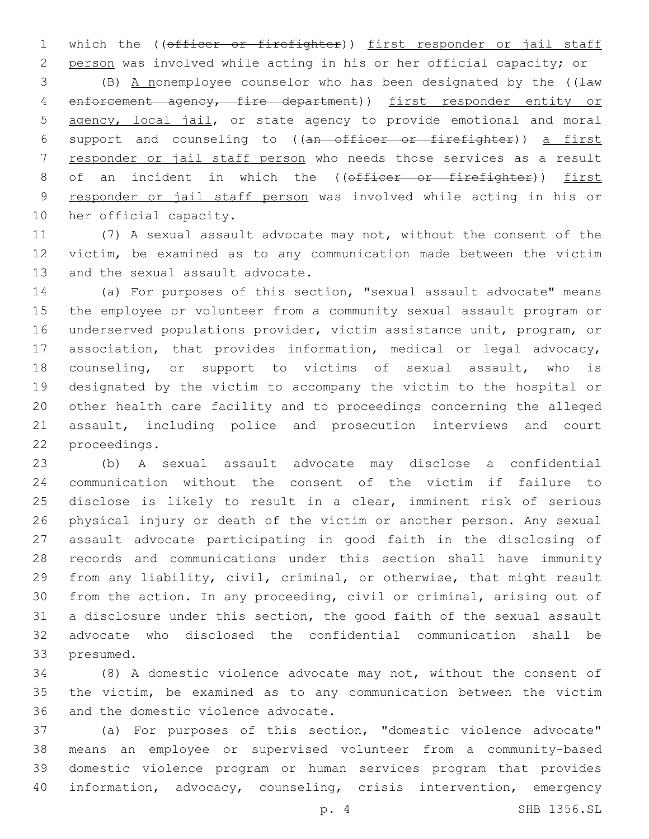1 which the ((officer or firefighter)) first responder or jail staff

 person was involved while acting in his or her official capacity; or 3 (B) A nonemployee counselor who has been designated by the  $($   $\frac{1}{2}$ 4 enforcement agency, fire department)) first responder entity or agency, local jail, or state agency to provide emotional and moral support and counseling to ((an officer or firefighter)) a first responder or jail staff person who needs those services as a result 8 of an incident in which the ((officer or firefighter)) first responder or jail staff person was involved while acting in his or 10 her official capacity.

 (7) A sexual assault advocate may not, without the consent of the victim, be examined as to any communication made between the victim 13 and the sexual assault advocate.

 (a) For purposes of this section, "sexual assault advocate" means the employee or volunteer from a community sexual assault program or underserved populations provider, victim assistance unit, program, or association, that provides information, medical or legal advocacy, counseling, or support to victims of sexual assault, who is designated by the victim to accompany the victim to the hospital or other health care facility and to proceedings concerning the alleged assault, including police and prosecution interviews and court 22 proceedings.

 (b) A sexual assault advocate may disclose a confidential communication without the consent of the victim if failure to disclose is likely to result in a clear, imminent risk of serious physical injury or death of the victim or another person. Any sexual assault advocate participating in good faith in the disclosing of records and communications under this section shall have immunity from any liability, civil, criminal, or otherwise, that might result from the action. In any proceeding, civil or criminal, arising out of a disclosure under this section, the good faith of the sexual assault advocate who disclosed the confidential communication shall be 33 presumed.

 (8) A domestic violence advocate may not, without the consent of the victim, be examined as to any communication between the victim 36 and the domestic violence advocate.

 (a) For purposes of this section, "domestic violence advocate" means an employee or supervised volunteer from a community-based domestic violence program or human services program that provides information, advocacy, counseling, crisis intervention, emergency

p. 4 SHB 1356.SL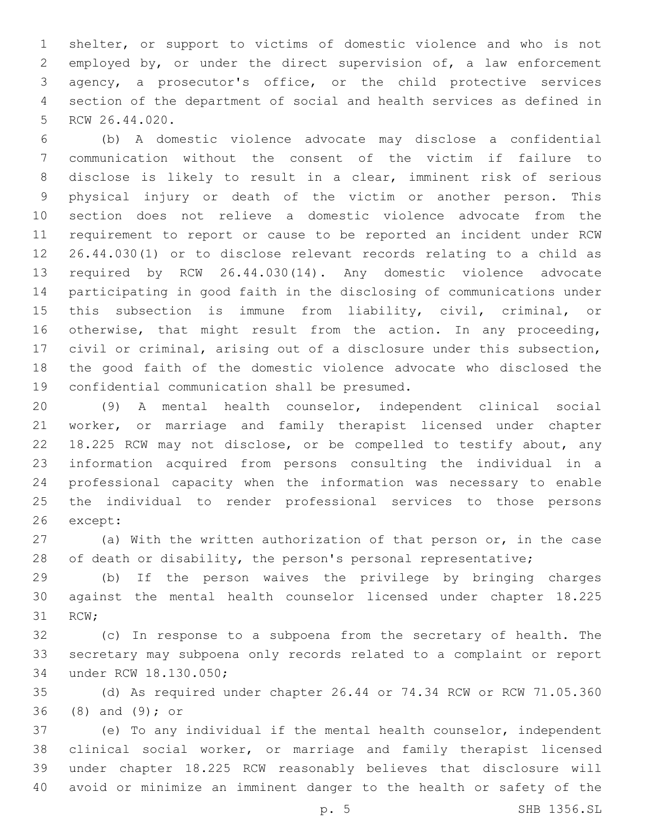shelter, or support to victims of domestic violence and who is not 2 employed by, or under the direct supervision of, a law enforcement agency, a prosecutor's office, or the child protective services section of the department of social and health services as defined in 5 RCW 26.44.020.

 (b) A domestic violence advocate may disclose a confidential communication without the consent of the victim if failure to disclose is likely to result in a clear, imminent risk of serious physical injury or death of the victim or another person. This section does not relieve a domestic violence advocate from the requirement to report or cause to be reported an incident under RCW 26.44.030(1) or to disclose relevant records relating to a child as required by RCW 26.44.030(14). Any domestic violence advocate participating in good faith in the disclosing of communications under this subsection is immune from liability, civil, criminal, or otherwise, that might result from the action. In any proceeding, civil or criminal, arising out of a disclosure under this subsection, the good faith of the domestic violence advocate who disclosed the 19 confidential communication shall be presumed.

 (9) A mental health counselor, independent clinical social worker, or marriage and family therapist licensed under chapter 18.225 RCW may not disclose, or be compelled to testify about, any information acquired from persons consulting the individual in a professional capacity when the information was necessary to enable the individual to render professional services to those persons 26 except:

 (a) With the written authorization of that person or, in the case of death or disability, the person's personal representative;

 (b) If the person waives the privilege by bringing charges against the mental health counselor licensed under chapter 18.225 31 RCW;

 (c) In response to a subpoena from the secretary of health. The secretary may subpoena only records related to a complaint or report 34 under RCW 18.130.050;

 (d) As required under chapter 26.44 or 74.34 RCW or RCW 71.05.360 36 (8) and (9); or

 (e) To any individual if the mental health counselor, independent clinical social worker, or marriage and family therapist licensed under chapter 18.225 RCW reasonably believes that disclosure will avoid or minimize an imminent danger to the health or safety of the

p. 5 SHB 1356.SL